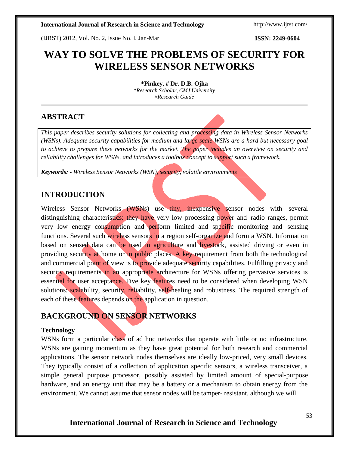(IJRST) 2012, Vol. No. 2, Issue No. I, Jan-Mar **ISSN: 2249-0604**

# **WAY TO SOLVE THE PROBLEMS OF SECURITY FOR WIRELESS SENSOR NETWORKS**

**\*Pinkey, # Dr. D.B. Ojha** *\*Research Scholar, CMJ University #Research Guide*

# **ABSTRACT**

*This paper describes security solutions for collecting and processing data in Wireless Sensor Networks (WSNs). Adequate security capabilities for medium and large scale WSNs are a hard but necessary goal to achieve to prepare these networks for the market. The paper includes an overview on security and reliability challenges for WSNs. and introduces a toolbox concept to support such a framework.*

*Keywords: - Wireless Sensor Networks (WSN), security, volatile environments*

# **INTRODUCTION**

Wireless Sensor Networks (WSNs) use tiny, inexpensive sensor nodes with several distinguishing characteristics: they have very low processing power and radio ranges, permit very low energy consumption and perform limited and specific monitoring and sensing functions. Several such wireless sensors in a region self-organize and form a WSN. Information based on sensed data can be used in agriculture and livestock, assisted driving or even in providing security at home or in public places. A key requirement from both the technological and commercial point of view is to provide adequate security capabilities. Fulfilling privacy and security requirements in an appropriate architecture for WSNs offering pervasive services is essential for user acceptance. Five key features need to be considered when developing WSN solutions: scalability, security, reliability, self-healing and robustness. The required strength of each of these features depends on the application in question.

# **BACKGROUND ON SENSOR NETWORKS**

## **Technology**

WSNs form a particular class of ad hoc networks that operate with little or no infrastructure. WSNs are gaining momentum as they have great potential for both research and commercial applications. The sensor network nodes themselves are ideally low-priced, very small devices. They typically consist of a collection of application specific sensors, a wireless transceiver, a simple general purpose processor, possibly assisted by limited amount of special-purpose hardware, and an energy unit that may be a battery or a mechanism to obtain energy from the environment. We cannot assume that sensor nodes will be tamper- resistant, although we will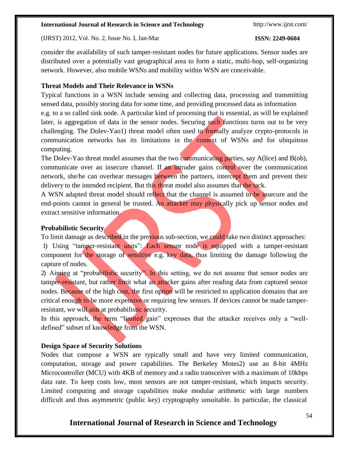(IJRST) 2012, Vol. No. 2, Issue No. I, Jan-Mar **ISSN: 2249-0604**

consider the availability of such tamper-resistant nodes for future applications. Sensor nodes are distributed over a potentially vast geographical area to form a static, multi-hop, self-organizing network. However, also mobile WSNs and mobility within WSN are conceivable.

### **Threat Models and Their Relevance in WSNs**

Typical functions in a WSN include sensing and collecting data, processing and transmitting sensed data, possibly storing data for some time, and providing processed data as information e.g. to a so called sink node. A particular kind of processing that is essential, as will be explained later, is aggregation of data in the sensor nodes. Securing such functions turns out to be very challenging. The Dolev-Yao1) threat model often used to formally analyze crypto-protocols in communication networks has its limitations in the context of WSNs and for ubiquitous computing.

The Dolev-Yao threat model assumes that the two communicating parties, say A(lice) and B(ob), communicate over an insecure channel. If an intruder gains control over the communication network, she/he can overhear messages between the partners, intercept them and prevent their delivery to the intended recipient. But this threat model also assumes that the tack.

A WSN adapted threat model should reflect that the channel is assumed to be insecure and the end-points cannot in general be trusted. An attacker may physically pick up sensor nodes and extract sensitive information.

### **Probabilistic Security**

To limit damage as described in the previous sub-section, we could take two distinct approaches:

1) Using "tamper-resistant units": Each sensor node is equipped with a tamper-resistant component for the storage of sensitive e.g. key data, thus limiting the damage following the capture of nodes.

2) Aiming at "probabilistic security": In this setting, we do not assume that sensor nodes are tamper-resistant, but rather limit what an attacker gains after reading data from captured sensor nodes. Because of the high cost, the first option will be restricted to application domains that are critical enough to be more expensive or requiring few sensors. If devices cannot be made tamperresistant, we will aim at probabilistic security.

In this approach, the term "limited gain" expresses that the attacker receives only a "welldefined" subset of knowledge from the WSN.

## **Design Space of Security Solutions**

Nodes that compose a WSN are typically small and have very limited communication, computation, storage and power capabilities. The Berkeley Motes2) use an 8-bit 4MHz Microcontroller (MCU) with 4KB of memory and a radio transceiver with a maximum of 10kbps data rate. To keep costs low, most sensors are not tamper-resistant, which impacts security. Limited computing and storage capabilities make modular arithmetic with large numbers difficult and thus asymmetric (public key) cryptography unsuitable. In particular, the classical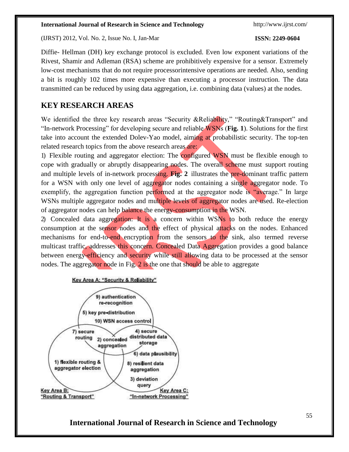(IJRST) 2012, Vol. No. 2, Issue No. I, Jan-Mar **ISSN: 2249-0604**

Diffie- Hellman (DH) key exchange protocol is excluded. Even low exponent variations of the Rivest, Shamir and Adleman (RSA) scheme are prohibitively expensive for a sensor. Extremely low-cost mechanisms that do not require processorintensive operations are needed. Also, sending a bit is roughly 102 times more expensive than executing a processor instruction. The data transmitted can be reduced by using data aggregation, i.e. combining data (values) at the nodes.

# **KEY RESEARCH AREAS**

We identified the three key research areas "Security &Reliability," "Routing&Transport" and "In-network Processing" for developing secure and reliable WSNs (**Fig. 1**). Solutions for the first take into account the extended Dolev-Yao model, aiming at probabilistic security. The top-ten related research topics from the above research areas are:

1) Flexible routing and aggregator election: The configured WSN must be flexible enough to cope with gradually or abruptly disappearing nodes. The overall scheme must support routing and multiple levels of in-network processing. **Fig. 2** illustrates the pre-dominant traffic pattern for a WSN with only one level of aggregator nodes containing a single aggregator node. To exemplify, the aggregation function performed at the aggregator node is "average." In large WSNs multiple aggregator nodes and multiple levels of aggregator nodes are used. Re-election of aggregator nodes can help balance the energy-consumption in the WSN.

2) Concealed data aggregation: It is a concern within WSNs to both reduce the energy consumption at the sensor nodes and the effect of physical attacks on the nodes. Enhanced mechanisms for end-to-end encryption from the sensors to the sink, also termed reverse multicast traffic, addresses this concern. Concealed Data Aggregation provides a good balance between energy-efficiency and security while still allowing data to be processed at the sensor nodes. The aggregator node in Fig. 2 is the one that should be able to aggregate



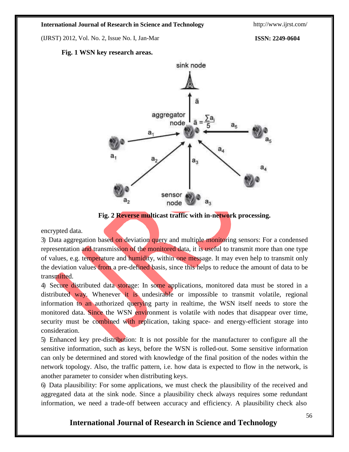(IJRST) 2012, Vol. No. 2, Issue No. I, Jan-Mar **ISSN: 2249-0604**

#### **Fig. 1 WSN key research areas.**



**Fig. 2 Reverse multicast traffic with in-network processing.**

encrypted data.

3) Data aggregation based on deviation query and multiple monitoring sensors: For a condensed representation and transmission of the monitored data, it is useful to transmit more than one type of values, e.g. temperature and humidity, within one message. It may even help to transmit only the deviation values from a pre-defined basis, since this helps to reduce the amount of data to be transmitted.

4) Secure distributed data storage: In some applications, monitored data must be stored in a distributed way. Whenever it is undesirable or impossible to transmit volatile, regional information to an authorized querying party in realtime, the WSN itself needs to store the monitored data. Since the WSN environment is volatile with nodes that disappear over time, security must be combined with replication, taking space- and energy-efficient storage into consideration.

5) Enhanced key pre-distribution: It is not possible for the manufacturer to configure all the sensitive information, such as keys, before the WSN is rolled-out. Some sensitive information can only be determined and stored with knowledge of the final position of the nodes within the network topology. Also, the traffic pattern, i.e. how data is expected to flow in the network, is another parameter to consider when distributing keys.

6) Data plausibility: For some applications, we must check the plausibility of the received and aggregated data at the sink node. Since a plausibility check always requires some redundant information, we need a trade-off between accuracy and efficiency. A plausibility check also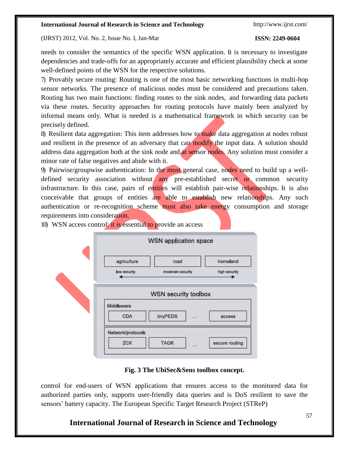### (IJRST) 2012, Vol. No. 2, Issue No. I, Jan-Mar **ISSN: 2249-0604**

needs to consider the semantics of the specific WSN application. It is necessary to investigate dependencies and trade-offs for an appropriately accurate and efficient plausibility check at some well-defined points of the WSN for the respective solutions.

7) Provably secure routing: Routing is one of the most basic networking functions in multi-hop sensor networks. The presence of malicious nodes must be considered and precautions taken. Routing has two main functions: finding routes to the sink nodes, and forwarding data packets via these routes. Security approaches for routing protocols have mainly been analyzed by informal means only. What is needed is a mathematical framework in which security can be precisely defined.

8) Resilient data aggregation: This item addresses how to make data aggregation at nodes robust and resilient in the presence of an adversary that can modify the input data. A solution should address data aggregation both at the sink node and at sensor nodes. Any solution must consider a minor rate of false negatives and abide with it.

9) Pairwise/groupwise authentication: In the most general case, nodes need to build up a welldefined security association without any pre-established secret or common security infrastructure. In this case, pairs of entities will establish pair-wise relationships. It is also conceivable that groups of entities are able to establish new relationships. Any such authentication or re-recognition scheme must also take energy consumption and storage requirements into consideration.

| <b>WSN application space</b>                                                                       |
|----------------------------------------------------------------------------------------------------|
| agriculture<br>homeland<br>road<br>low security<br>moderate security<br>high security              |
| WSN security toolbox<br>Middleware<br>CDA<br>tinyPEDS<br>access<br>                                |
| Network/protocols<br><b>ZCK</b><br><b>TAGK</b><br>secure routing<br>$\mathbf{r} \times \mathbf{r}$ |

10) WSN access control: it is essential to provide an access

## **Fig. 3 The UbiSec&Sens toolbox concept.**

control for end-users of WSN applications that ensures access to the monitored data for authorized parties only, supports user-friendly data queries and is DoS resilient to save the sensors' battery capacity. The European Specific Target Research Project (STReP)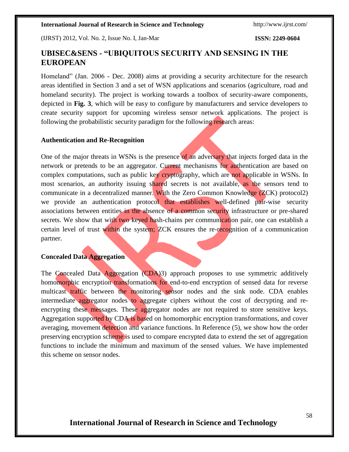(IJRST) 2012, Vol. No. 2, Issue No. I, Jan-Mar **ISSN: 2249-0604**

# **UBISEC&SENS - "UBIQUITOUS SECURITY AND SENSING IN THE EUROPEAN**

Homeland" (Jan. 2006 - Dec. 2008) aims at providing a security architecture for the research areas identified in Section 3 and a set of WSN applications and scenarios (agriculture, road and homeland security). The project is working towards a toolbox of security-aware components, depicted in **Fig. 3**, which will be easy to configure by manufacturers and service developers to create security support for upcoming wireless sensor network applications. The project is following the probabilistic security paradigm for the following research areas:

### **Authentication and Re-Recognition**

One of the major threats in WSNs is the presence of an adversary that injects forged data in the network or pretends to be an aggregator. Current mechanisms for authentication are based on complex computations, such as public key cryptography, which are not applicable in WSNs. In most scenarios, an authority issuing shared secrets is not available, as the sensors tend to communicate in a decentralized manner. With the Zero Common Knowledge (ZCK) protocol2) we provide an authentication protocol that establishes well-defined pair-wise security associations between entities in the absence of a common security infrastructure or pre-shared secrets. We show that with two keyed hash-chains per communication pair, one can establish a certain level of trust within the system; ZCK ensures the re-recognition of a communication partner.

#### **Concealed Data Aggregation**

The Concealed Data Aggregation (CDA)3) approach proposes to use symmetric additively homomorphic encryption transformations for end-to-end encryption of sensed data for reverse multicast traffic between the monitoring sensor nodes and the sink node. CDA enables intermediate aggregator nodes to aggregate ciphers without the cost of decrypting and reencrypting these messages. These aggregator nodes are not required to store sensitive keys. Aggregation supported by CDA is based on homomorphic encryption transformations, and cover averaging, movement detection and variance functions. In Reference (5), we show how the order preserving encryption scheme is used to compare encrypted data to extend the set of aggregation functions to include the minimum and maximum of the sensed values. We have implemented this scheme on sensor nodes.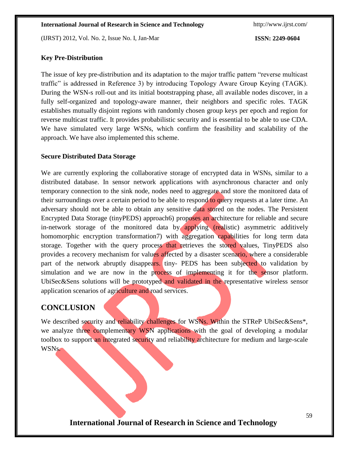(IJRST) 2012, Vol. No. 2, Issue No. I, Jan-Mar **ISSN: 2249-0604**

### **Key Pre-Distribution**

The issue of key pre-distribution and its adaptation to the major traffic pattern "reverse multicast traffic" is addressed in Reference 3) by introducing Topology Aware Group Keying (TAGK). During the WSN-s roll-out and its initial bootstrapping phase, all available nodes discover, in a fully self-organized and topology-aware manner, their neighbors and specific roles. TAGK establishes mutually disjoint regions with randomly chosen group keys per epoch and region for reverse multicast traffic. It provides probabilistic security and is essential to be able to use CDA. We have simulated very large WSNs, which confirm the feasibility and scalability of the approach. We have also implemented this scheme.

### **Secure Distributed Data Storage**

We are currently exploring the collaborative storage of encrypted data in WSNs, similar to a distributed database. In sensor network applications with asynchronous character and only temporary connection to the sink node, nodes need to aggregate and store the monitored data of their surroundings over a certain period to be able to respond to query requests at a later time. An adversary should not be able to obtain any sensitive data stored on the nodes. The Persistent Encrypted Data Storage (tinyPEDS) approach6) proposes an architecture for reliable and secure in-network storage of the monitored data by applying (realistic) asymmetric additively homomorphic encryption transformation7) with aggregation capabilities for long term data storage. Together with the query process that retrieves the stored values, TinyPEDS also provides a recovery mechanism for values affected by a disaster scenario, where a considerable part of the network abruptly disappears. tiny- PEDS has been subjected to validation by simulation and we are now in the process of implementing it for the sensor platform. UbiSec&Sens solutions will be prototyped and validated in the representative wireless sensor application scenarios of agriculture and road services.

# **CONCLUSION**

We described security and reliability challenges for WSNs. Within the STReP UbiSec&Sens<sup>\*</sup>, we analyze three complementary WSN applications with the goal of developing a modular toolbox to support an integrated security and reliability architecture for medium and large-scale WSNs.